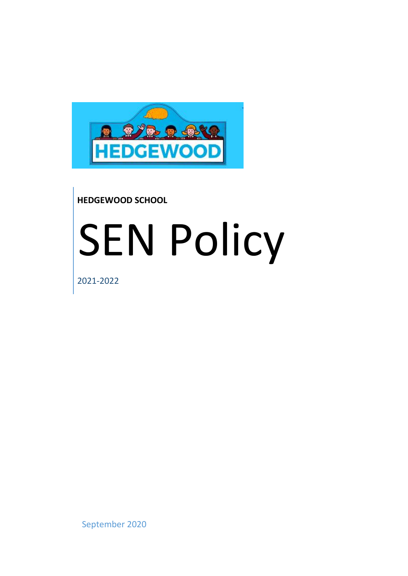

## **HEDGEWOOD SCHOOL**

# SEN Policy

2021-2022

September 2020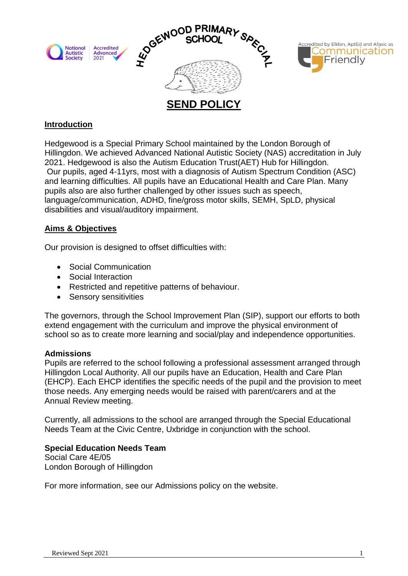

#### **Introduction**

Hedgewood is a Special Primary School maintained by the London Borough of Hillingdon. We achieved Advanced National Autistic Society (NAS) accreditation in July 2021. Hedgewood is also the Autism Education Trust(AET) Hub for Hillingdon. Our pupils, aged 4-11yrs, most with a diagnosis of Autism Spectrum Condition (ASC) and learning difficulties. All pupils have an Educational Health and Care Plan. Many pupils also are also further challenged by other issues such as speech, language/communication, ADHD, fine/gross motor skills, SEMH, SpLD, physical disabilities and visual/auditory impairment.

#### **Aims & Objectives**

Our provision is designed to offset difficulties with:

- Social Communication
- Social Interaction
- Restricted and repetitive patterns of behaviour.
- Sensory sensitivities

The governors, through the School Improvement Plan (SIP), support our efforts to both extend engagement with the curriculum and improve the physical environment of school so as to create more learning and social/play and independence opportunities.

#### **Admissions**

Pupils are referred to the school following a professional assessment arranged through Hillingdon Local Authority. All our pupils have an Education, Health and Care Plan (EHCP). Each EHCP identifies the specific needs of the pupil and the provision to meet those needs. Any emerging needs would be raised with parent/carers and at the Annual Review meeting.

Currently, all admissions to the school are arranged through the Special Educational Needs Team at the Civic Centre, Uxbridge in conjunction with the school.

#### **Special Education Needs Team**

Social Care 4E/05 London Borough of Hillingdon

For more information, see our Admissions policy on the website.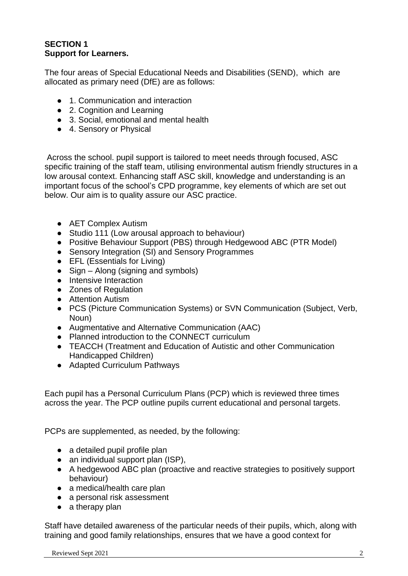#### **SECTION 1 Support for Learners.**

The four areas of Special Educational Needs and Disabilities (SEND), which are allocated as primary need (DfE) are as follows:

- 1. Communication and interaction
- 2. Cognition and Learning
- 3. Social, emotional and mental health
- 4. Sensory or Physical

Across the school. pupil support is tailored to meet needs through focused, ASC specific training of the staff team, utilising environmental autism friendly structures in a low arousal context. Enhancing staff ASC skill, knowledge and understanding is an important focus of the school's CPD programme, key elements of which are set out below. Our aim is to quality assure our ASC practice.

- AET Complex Autism
- Studio 111 (Low arousal approach to behaviour)
- Positive Behaviour Support (PBS) through Hedgewood ABC (PTR Model)
- Sensory Integration (SI) and Sensory Programmes
- EFL (Essentials for Living)
- $\bullet$  Sign Along (signing and symbols)
- Intensive Interaction
- Zones of Regulation
- Attention Autism
- PCS (Picture Communication Systems) or SVN Communication (Subject, Verb, Noun)
- Augmentative and Alternative Communication (AAC)
- Planned introduction to the CONNECT curriculum
- TEACCH (Treatment and Education of Autistic and other Communication Handicapped Children)
- Adapted Curriculum Pathways

Each pupil has a Personal Curriculum Plans (PCP) which is reviewed three times across the year. The PCP outline pupils current educational and personal targets.

PCPs are supplemented, as needed, by the following:

- a detailed pupil profile plan
- $\bullet$  an individual support plan (ISP),
- A hedgewood ABC plan (proactive and reactive strategies to positively support behaviour)
- a medical/health care plan
- a personal risk assessment
- $\bullet$  a therapy plan

Staff have detailed awareness of the particular needs of their pupils, which, along with training and good family relationships, ensures that we have a good context for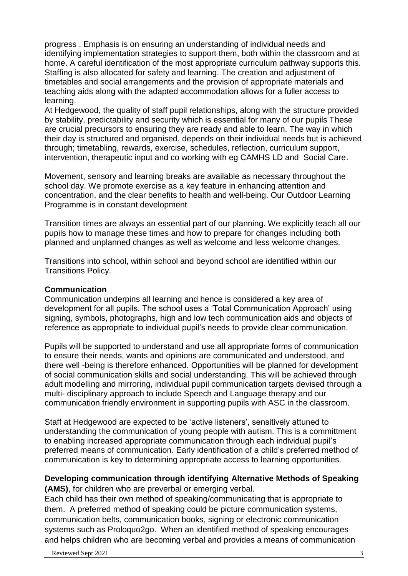progress . Emphasis is on ensuring an understanding of individual needs and identifying implementation strategies to support them, both within the classroom and at home. A careful identification of the most appropriate curriculum pathway supports this. Staffing is also allocated for safety and learning. The creation and adjustment of timetables and social arrangements and the provision of appropriate materials and teaching aids along with the adapted accommodation allows for a fuller access to learning.

At Hedgewood, the quality of staff pupil relationships, along with the structure provided by stability, predictability and security which is essential for many of our pupils These are crucial precursors to ensuring they are ready and able to learn. The way in which their day is structured and organised, depends on their individual needs but is achieved through; timetabling, rewards, exercise, schedules, reflection, curriculum support, intervention, therapeutic input and co working with eg CAMHS LD and Social Care.

Movement, sensory and learning breaks are available as necessary throughout the school day. We promote exercise as a key feature in enhancing attention and concentration, and the clear benefits to health and well-being. Our Outdoor Learning Programme is in constant development

Transition times are always an essential part of our planning. We explicitly teach all our pupils how to manage these times and how to prepare for changes including both planned and unplanned changes as well as welcome and less welcome changes.

Transitions into school, within school and beyond school are identified within our Transitions Policy.

#### **Communication**

Communication underpins all learning and hence is considered a key area of development for all pupils. The school uses a 'Total Communication Approach' using signing, symbols, photographs, high and low tech communication aids and objects of reference as appropriate to individual pupil's needs to provide clear communication.

Pupils will be supported to understand and use all appropriate forms of communication to ensure their needs, wants and opinions are communicated and understood, and there well -being is therefore enhanced. Opportunities will be planned for development of social communication skills and social understanding. This will be achieved through adult modelling and mirroring, individual pupil communication targets devised through a multi- disciplinary approach to include Speech and Language therapy and our communication friendly environment in supporting pupils with ASC in the classroom.

Staff at Hedgewood are expected to be 'active listeners', sensitively attuned to understanding the communication of young people with autism. This is a committment to enabling increased appropriate communication through each individual pupil's preferred means of communication. Early identification of a child's preferred method of communication is key to determining appropriate access to learning opportunities.

#### **Developing communication through identifying Alternative Methods of Speaking (AMS)**, for children who are preverbal or emerging verbal.

Each child has their own method of speaking/communicating that is appropriate to them. A preferred method of speaking could be picture communication systems, communication belts, communication books, signing or electronic communication systems such as Proloquo2go. When an identified method of speaking encourages and helps children who are becoming verbal and provides a means of communication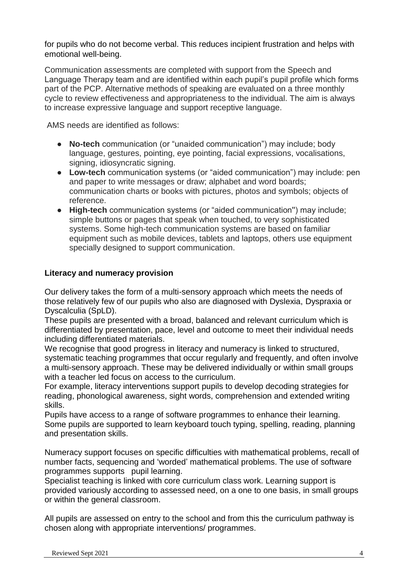for pupils who do not become verbal. This reduces incipient frustration and helps with emotional well-being.

Communication assessments are completed with support from the Speech and Language Therapy team and are identified within each pupil's pupil profile which forms part of the PCP. Alternative methods of speaking are evaluated on a three monthly cycle to review effectiveness and appropriateness to the individual. The aim is always to increase expressive language and support receptive language.

AMS needs are identified as follows:

- **No-tech** communication (or "unaided communication") may include; body language, gestures, pointing, eye pointing, facial expressions, vocalisations, signing, idiosyncratic signing.
- **Low-tech** communication systems (or "aided communication") may include: pen and paper to write messages or draw; alphabet and word boards; communication charts or books with pictures, photos and symbols; objects of reference.
- **High-tech** communication systems (or "aided communication'') may include; simple buttons or pages that speak when touched, to very sophisticated systems. Some high-tech communication systems are based on familiar equipment such as mobile devices, tablets and laptops, others use equipment specially designed to support communication.

#### **Literacy and numeracy provision**

Our delivery takes the form of a multi-sensory approach which meets the needs of those relatively few of our pupils who also are diagnosed with Dyslexia, Dyspraxia or Dyscalculia (SpLD).

These pupils are presented with a broad, balanced and relevant curriculum which is differentiated by presentation, pace, level and outcome to meet their individual needs including differentiated materials.

We recognise that good progress in literacy and numeracy is linked to structured, systematic teaching programmes that occur regularly and frequently, and often involve a multi-sensory approach. These may be delivered individually or within small groups with a teacher led focus on access to the curriculum.

For example, literacy interventions support pupils to develop decoding strategies for reading, phonological awareness, sight words, comprehension and extended writing skills.

Pupils have access to a range of software programmes to enhance their learning. Some pupils are supported to learn keyboard touch typing, spelling, reading, planning and presentation skills.

Numeracy support focuses on specific difficulties with mathematical problems, recall of number facts, sequencing and 'worded' mathematical problems. The use of software programmes supports pupil learning.

Specialist teaching is linked with core curriculum class work. Learning support is provided variously according to assessed need, on a one to one basis, in small groups or within the general classroom.

All pupils are assessed on entry to the school and from this the curriculum pathway is chosen along with appropriate interventions/ programmes.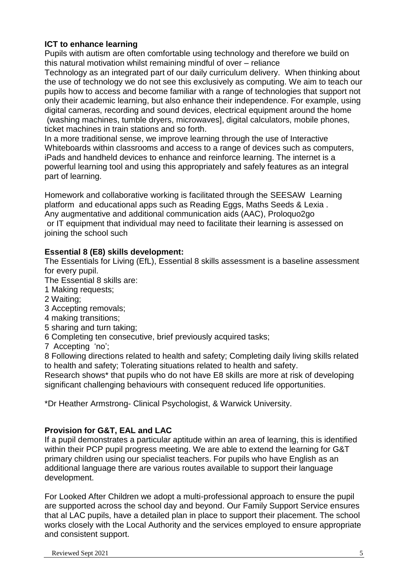#### **ICT to enhance learning**

Pupils with autism are often comfortable using technology and therefore we build on this natural motivation whilst remaining mindful of over – reliance

Technology as an integrated part of our daily curriculum delivery. When thinking about the use of technology we do not see this exclusively as computing. We aim to teach our pupils how to access and become familiar with a range of technologies that support not only their academic learning, but also enhance their independence. For example, using digital cameras, recording and sound devices, electrical equipment around the home (washing machines, tumble dryers, microwaves], digital calculators, mobile phones, ticket machines in train stations and so forth.

In a more traditional sense, we improve learning through the use of Interactive Whiteboards within classrooms and access to a range of devices such as computers, iPads and handheld devices to enhance and reinforce learning. The internet is a powerful learning tool and using this appropriately and safely features as an integral part of learning.

Homework and collaborative working is facilitated through the SEESAW Learning platform and educational apps such as Reading Eggs, Maths Seeds & Lexia . Any augmentative and additional communication aids (AAC), Proloquo2go or IT equipment that individual may need to facilitate their learning is assessed on joining the school such

#### **Essential 8 (E8) skills development:**

The Essentials for Living (EfL), Essential 8 skills assessment is a baseline assessment for every pupil.

The Essential 8 skills are:

- 1 Making requests;
- 2 Waiting;
- 3 Accepting removals;
- 4 making transitions;
- 5 sharing and turn taking;
- 6 Completing ten consecutive, brief previously acquired tasks;
- 7 Accepting 'no';

8 Following directions related to health and safety; Completing daily living skills related to health and safety; Tolerating situations related to health and safety.

Research shows\* that pupils who do not have E8 skills are more at risk of developing significant challenging behaviours with consequent reduced life opportunities.

\*Dr Heather Armstrong- Clinical Psychologist, & Warwick University.

#### **Provision for G&T, EAL and LAC**

If a pupil demonstrates a particular aptitude within an area of learning, this is identified within their PCP pupil progress meeting. We are able to extend the learning for G&T primary children using our specialist teachers. For pupils who have English as an additional language there are various routes available to support their language development.

For Looked After Children we adopt a multi-professional approach to ensure the pupil are supported across the school day and beyond. Our Family Support Service ensures that al LAC pupils, have a detailed plan in place to support their placement. The school works closely with the Local Authority and the services employed to ensure appropriate and consistent support.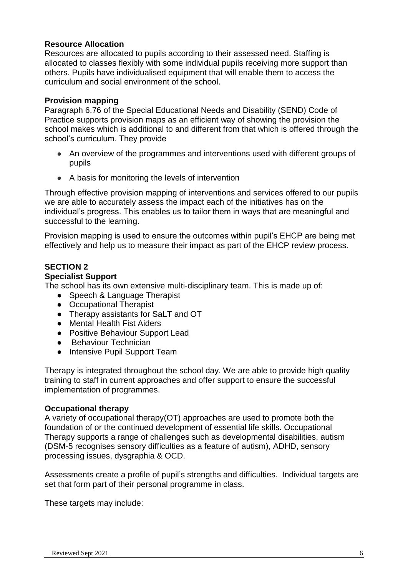#### **Resource Allocation**

Resources are allocated to pupils according to their assessed need. Staffing is allocated to classes flexibly with some individual pupils receiving more support than others. Pupils have individualised equipment that will enable them to access the curriculum and social environment of the school.

#### **Provision mapping**

Paragraph 6.76 of the Special Educational Needs and Disability (SEND) Code of Practice supports provision maps as an efficient way of showing the provision the school makes which is additional to and different from that which is offered through the school's curriculum. They provide

- An overview of the programmes and interventions used with different groups of pupils
- A basis for monitoring the levels of intervention

Through effective provision mapping of interventions and services offered to our pupils we are able to accurately assess the impact each of the initiatives has on the individual's progress. This enables us to tailor them in ways that are meaningful and successful to the learning.

Provision mapping is used to ensure the outcomes within pupil's EHCP are being met effectively and help us to measure their impact as part of the EHCP review process.

#### **SECTION 2**

#### **Specialist Support**

The school has its own extensive multi-disciplinary team. This is made up of:

- Speech & Language Therapist
- Occupational Therapist
- Therapy assistants for SaLT and OT
- Mental Health Fist Aiders
- Positive Behaviour Support Lead
- Behaviour Technician
- Intensive Pupil Support Team

Therapy is integrated throughout the school day. We are able to provide high quality training to staff in current approaches and offer support to ensure the successful implementation of programmes.

#### **Occupational therapy**

A variety of occupational therapy(OT) approaches are used to promote both the foundation of or the continued development of essential life skills. Occupational Therapy supports a range of challenges such as developmental disabilities, autism (DSM-5 recognises sensory difficulties as a feature of autism), ADHD, sensory processing issues, dysgraphia & OCD.

Assessments create a profile of pupil's strengths and difficulties. Individual targets are set that form part of their personal programme in class.

These targets may include: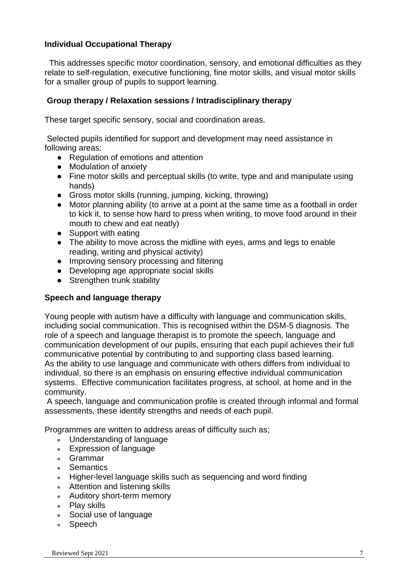#### **Individual Occupational Therapy**

 This addresses specific motor coordination, sensory, and emotional difficulties as they relate to self-regulation, executive functioning, fine motor skills, and visual motor skills for a smaller group of pupils to support learning.

#### **Group therapy / Relaxation sessions / Intradisciplinary therapy**

These target specific sensory, social and coordination areas.

Selected pupils identified for support and development may need assistance in following areas:

- Regulation of emotions and attention
- Modulation of anxiety
- Fine motor skills and perceptual skills (to write, type and and manipulate using hands)
- Gross motor skills (running, jumping, kicking, throwing)
- Motor planning ability (to arrive at a point at the same time as a football in order to kick it, to sense how hard to press when writing, to move food around in their mouth to chew and eat neatly)
- Support with eating
- The ability to move across the midline with eyes, arms and legs to enable reading, writing and physical activity)
- Improving sensory processing and filtering
- Developing age appropriate social skills
- Strengthen trunk stability

#### **Speech and language therapy**

Young people with autism have a difficulty with language and communication skills, including social communication. This is recognised within the DSM-5 diagnosis. The role of a speech and language therapist is to promote the speech, language and communication development of our pupils, ensuring that each pupil achieves their full communicative potential by contributing to and supporting class based learning. As the ability to use language and communicate with others differs from individual to individual, so there is an emphasis on ensuring effective individual communication systems. Effective communication facilitates progress, at school, at home and in the community.

A speech, language and communication profile is created through informal and formal assessments, these identify strengths and needs of each pupil.

Programmes are written to address areas of difficulty such as;

- Understanding of language
- Expression of language
- Grammar
- Semantics
- Higher-level language skills such as sequencing and word finding
- Attention and listening skills
- Auditory short-term memory
- Play skills
- Social use of language
- Speech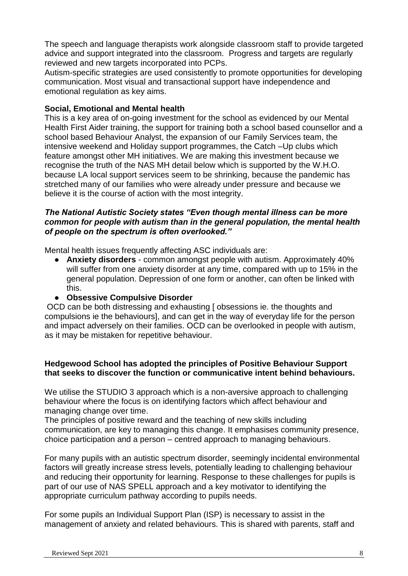The speech and language therapists work alongside classroom staff to provide targeted advice and support integrated into the classroom. Progress and targets are regularly reviewed and new targets incorporated into PCPs.

Autism-specific strategies are used consistently to promote opportunities for developing communication. Most visual and transactional support have independence and emotional regulation as key aims.

#### **Social, Emotional and Mental health**

This is a key area of on-going investment for the school as evidenced by our Mental Health First Aider training, the support for training both a school based counsellor and a school based Behaviour Analyst, the expansion of our Family Services team, the intensive weekend and Holiday support programmes, the Catch –Up clubs which feature amongst other MH initiatives. We are making this investment because we recognise the truth of the NAS MH detail below which is supported by the W.H.O. because LA local support services seem to be shrinking, because the pandemic has stretched many of our families who were already under pressure and because we believe it is the course of action with the most integrity.

#### *The National Autistic Society states "Even though mental illness can be more common for people with autism than in the general population, the mental health of people on the spectrum is often overlooked."*

Mental health issues frequently affecting ASC individuals are:

● **Anxiety disorders** - common amongst people with autism. Approximately 40% will suffer from one anxiety disorder at any time, compared with up to 15% in the general population. Depression of one form or another, can often be linked with this.

#### ● **Obsessive Compulsive Disorder**

OCD can be both distressing and exhausting [ obsessions ie. the thoughts and compulsions ie the behaviours], and can get in the way of everyday life for the person and impact adversely on their families. OCD can be overlooked in people with autism, as it may be mistaken for repetitive behaviour.

#### **Hedgewood School has adopted the principles of Positive Behaviour Support that seeks to discover the function or communicative intent behind behaviours.**

We utilise the STUDIO 3 approach which is a non-aversive approach to challenging behaviour where the focus is on identifying factors which affect behaviour and managing change over time.

The principles of positive reward and the teaching of new skills including communication, are key to managing this change. It emphasises community presence, choice participation and a person – centred approach to managing behaviours.

For many pupils with an autistic spectrum disorder, seemingly incidental environmental factors will greatly increase stress levels, potentially leading to challenging behaviour and reducing their opportunity for learning. Response to these challenges for pupils is part of our use of NAS SPELL approach and a key motivator to identifying the appropriate curriculum pathway according to pupils needs.

For some pupils an Individual Support Plan (ISP) is necessary to assist in the management of anxiety and related behaviours. This is shared with parents, staff and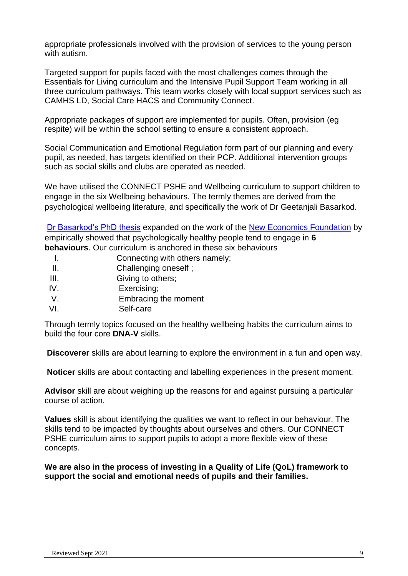appropriate professionals involved with the provision of services to the young person with autism.

Targeted support for pupils faced with the most challenges comes through the Essentials for Living curriculum and the Intensive Pupil Support Team working in all three curriculum pathways. This team works closely with local support services such as CAMHS LD, Social Care HACS and Community Connect.

Appropriate packages of support are implemented for pupils. Often, provision (eg respite) will be within the school setting to ensure a consistent approach.

Social Communication and Emotional Regulation form part of our planning and every pupil, as needed, has targets identified on their PCP. Additional intervention groups such as social skills and clubs are operated as needed.

We have utilised the CONNECT PSHE and Wellbeing curriculum to support children to engage in the six Wellbeing behaviours. The termly themes are derived from the psychological wellbeing literature, and specifically the work of Dr Geetanjali Basarkod.

[Dr Basarkod's PhD thesis](https://researchbank.acu.edu.au/theses/780/) expanded on the work of the [New Economics Foundation](https://neweconomics.org/2008/10/five-ways-to-wellbeing) by empirically showed that psychologically healthy people tend to engage in **6 behaviours**. Our curriculum is anchored in these six behaviours

- I. Connecting with others namely;
- II. Challenging oneself ;
- III. **Giving to others:**
- IV. Exercising;
- V. Embracing the moment
- VI. Self-care

Through termly topics focused on the healthy wellbeing habits the curriculum aims to build the four core **DNA-V** skills.

**Discoverer** skills are about learning to explore the environment in a fun and open way.

**Noticer** skills are about contacting and labelling experiences in the present moment.

**Advisor** skill are about weighing up the reasons for and against pursuing a particular course of action.

**Values** skill is about identifying the qualities we want to reflect in our behaviour. The skills tend to be impacted by thoughts about ourselves and others. Our CONNECT PSHE curriculum aims to support pupils to adopt a more flexible view of these concepts.

**We are also in the process of investing in a Quality of Life (QoL) framework to support the social and emotional needs of pupils and their families.**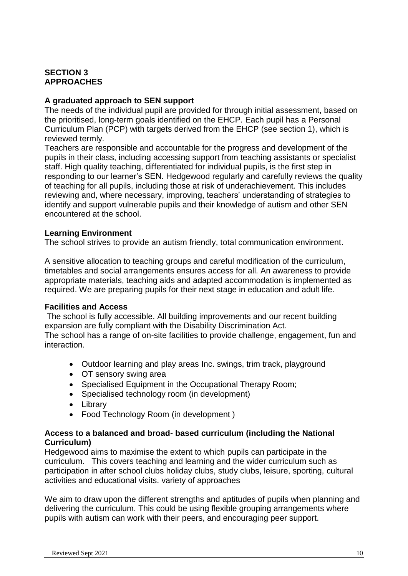#### **SECTION 3 APPROACHES**

#### **A graduated approach to SEN support**

The needs of the individual pupil are provided for through initial assessment, based on the prioritised, long-term goals identified on the EHCP. Each pupil has a Personal Curriculum Plan (PCP) with targets derived from the EHCP (see section 1), which is reviewed termly.

Teachers are responsible and accountable for the progress and development of the pupils in their class, including accessing support from teaching assistants or specialist staff. High quality teaching, differentiated for individual pupils, is the first step in responding to our learner's SEN. Hedgewood regularly and carefully reviews the quality of teaching for all pupils, including those at risk of underachievement. This includes reviewing and, where necessary, improving, teachers' understanding of strategies to identify and support vulnerable pupils and their knowledge of autism and other SEN encountered at the school.

#### **Learning Environment**

The school strives to provide an autism friendly, total communication environment.

A sensitive allocation to teaching groups and careful modification of the curriculum, timetables and social arrangements ensures access for all. An awareness to provide appropriate materials, teaching aids and adapted accommodation is implemented as required. We are preparing pupils for their next stage in education and adult life.

#### **Facilities and Access**

The school is fully accessible. All building improvements and our recent building expansion are fully compliant with the Disability Discrimination Act.

The school has a range of on-site facilities to provide challenge, engagement, fun and interaction.

- Outdoor learning and play areas Inc. swings, trim track, playground
- OT sensory swing area
- Specialised Equipment in the Occupational Therapy Room;
- Specialised technology room (in development)
- Library
- Food Technology Room (in development)

#### **Access to a balanced and broad- based curriculum (including the National Curriculum)**

Hedgewood aims to maximise the extent to which pupils can participate in the curriculum. This covers teaching and learning and the wider curriculum such as participation in after school clubs holiday clubs, study clubs, leisure, sporting, cultural activities and educational visits. variety of approaches

We aim to draw upon the different strengths and aptitudes of pupils when planning and delivering the curriculum. This could be using flexible grouping arrangements where pupils with autism can work with their peers, and encouraging peer support.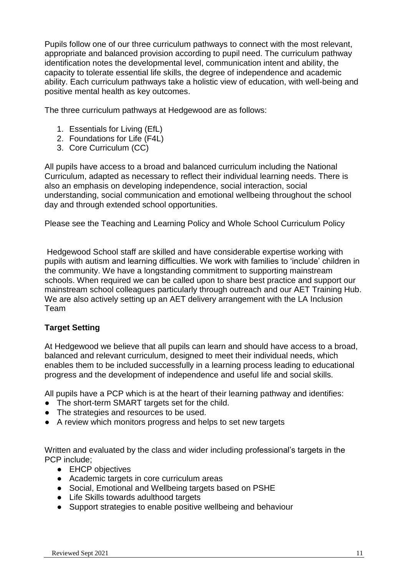Pupils follow one of our three curriculum pathways to connect with the most relevant, appropriate and balanced provision according to pupil need. The curriculum pathway identification notes the developmental level, communication intent and ability, the capacity to tolerate essential life skills, the degree of independence and academic ability. Each curriculum pathways take a holistic view of education, with well-being and positive mental health as key outcomes.

The three curriculum pathways at Hedgewood are as follows:

- 1. Essentials for Living (EfL)
- 2. Foundations for Life (F4L)
- 3. Core Curriculum (CC)

All pupils have access to a broad and balanced curriculum including the National Curriculum, adapted as necessary to reflect their individual learning needs. There is also an emphasis on developing independence, social interaction, social understanding, social communication and emotional wellbeing throughout the school day and through extended school opportunities.

Please see the Teaching and Learning Policy and Whole School Curriculum Policy

Hedgewood School staff are skilled and have considerable expertise working with pupils with autism and learning difficulties. We work with families to 'include' children in the community. We have a longstanding commitment to supporting mainstream schools. When required we can be called upon to share best practice and support our mainstream school colleagues particularly through outreach and our AET Training Hub. We are also actively setting up an AET delivery arrangement with the LA Inclusion Team

#### **Target Setting**

At Hedgewood we believe that all pupils can learn and should have access to a broad, balanced and relevant curriculum, designed to meet their individual needs, which enables them to be included successfully in a learning process leading to educational progress and the development of independence and useful life and social skills.

All pupils have a PCP which is at the heart of their learning pathway and identifies:

- The short-term SMART targets set for the child.
- The strategies and resources to be used.
- A review which monitors progress and helps to set new targets

Written and evaluated by the class and wider including professional's targets in the PCP include;

- EHCP objectives
- Academic targets in core curriculum areas
- Social, Emotional and Wellbeing targets based on PSHE
- Life Skills towards adulthood targets
- Support strategies to enable positive wellbeing and behaviour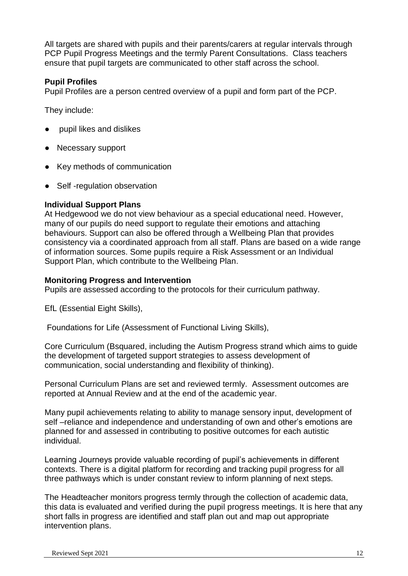All targets are shared with pupils and their parents/carers at regular intervals through PCP Pupil Progress Meetings and the termly Parent Consultations. Class teachers ensure that pupil targets are communicated to other staff across the school.

#### **Pupil Profiles**

Pupil Profiles are a person centred overview of a pupil and form part of the PCP.

They include:

- pupil likes and dislikes
- Necessary support
- Key methods of communication
- Self-regulation observation

#### **Individual Support Plans**

At Hedgewood we do not view behaviour as a special educational need. However, many of our pupils do need support to regulate their emotions and attaching behaviours. Support can also be offered through a Wellbeing Plan that provides consistency via a coordinated approach from all staff. Plans are based on a wide range of information sources. Some pupils require a Risk Assessment or an Individual Support Plan, which contribute to the Wellbeing Plan.

#### **Monitoring Progress and Intervention**

Pupils are assessed according to the protocols for their curriculum pathway.

EfL (Essential Eight Skills),

Foundations for Life (Assessment of Functional Living Skills),

Core Curriculum (Bsquared, including the Autism Progress strand which aims to guide the development of targeted support strategies to assess development of communication, social understanding and flexibility of thinking).

Personal Curriculum Plans are set and reviewed termly. Assessment outcomes are reported at Annual Review and at the end of the academic year.

Many pupil achievements relating to ability to manage sensory input, development of self –reliance and independence and understanding of own and other's emotions are planned for and assessed in contributing to positive outcomes for each autistic individual.

Learning Journeys provide valuable recording of pupil's achievements in different contexts. There is a digital platform for recording and tracking pupil progress for all three pathways which is under constant review to inform planning of next steps.

The Headteacher monitors progress termly through the collection of academic data, this data is evaluated and verified during the pupil progress meetings. It is here that any short falls in progress are identified and staff plan out and map out appropriate intervention plans.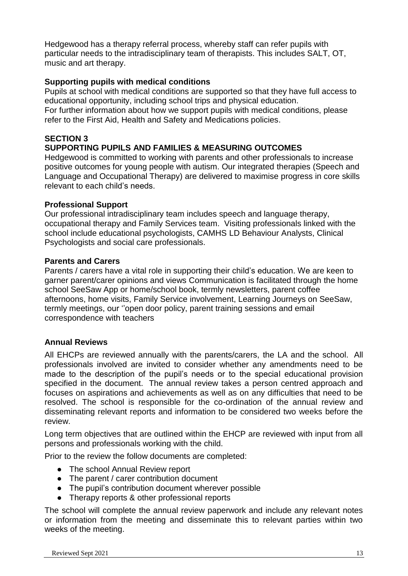Hedgewood has a therapy referral process, whereby staff can refer pupils with particular needs to the intradisciplinary team of therapists. This includes SALT, OT, music and art therapy.

#### **Supporting pupils with medical conditions**

Pupils at school with medical conditions are supported so that they have full access to educational opportunity, including school trips and physical education. For further information about how we support pupils with medical conditions, please refer to the First Aid, Health and Safety and Medications policies.

#### **SECTION 3**

#### **SUPPORTING PUPILS AND FAMILIES & MEASURING OUTCOMES**

Hedgewood is committed to working with parents and other professionals to increase positive outcomes for young people with autism. Our integrated therapies (Speech and Language and Occupational Therapy) are delivered to maximise progress in core skills relevant to each child's needs.

#### **Professional Support**

Our professional intradisciplinary team includes speech and language therapy, occupational therapy and Family Services team. Visiting professionals linked with the school include educational psychologists, CAMHS LD Behaviour Analysts, Clinical Psychologists and social care professionals.

#### **Parents and Carers**

Parents / carers have a vital role in supporting their child's education. We are keen to garner parent/carer opinions and views Communication is facilitated through the home school SeeSaw App or home/school book, termly newsletters, parent coffee afternoons, home visits, Family Service involvement, Learning Journeys on SeeSaw, termly meetings, our ''open door policy, parent training sessions and email correspondence with teachers

#### **Annual Reviews**

All EHCPs are reviewed annually with the parents/carers, the LA and the school. All professionals involved are invited to consider whether any amendments need to be made to the description of the pupil's needs or to the special educational provision specified in the document. The annual review takes a person centred approach and focuses on aspirations and achievements as well as on any difficulties that need to be resolved. The school is responsible for the co-ordination of the annual review and disseminating relevant reports and information to be considered two weeks before the review.

Long term objectives that are outlined within the EHCP are reviewed with input from all persons and professionals working with the child.

Prior to the review the follow documents are completed:

- The school Annual Review report
- The parent / carer contribution document
- The pupil's contribution document wherever possible
- Therapy reports & other professional reports

The school will complete the annual review paperwork and include any relevant notes or information from the meeting and disseminate this to relevant parties within two weeks of the meeting.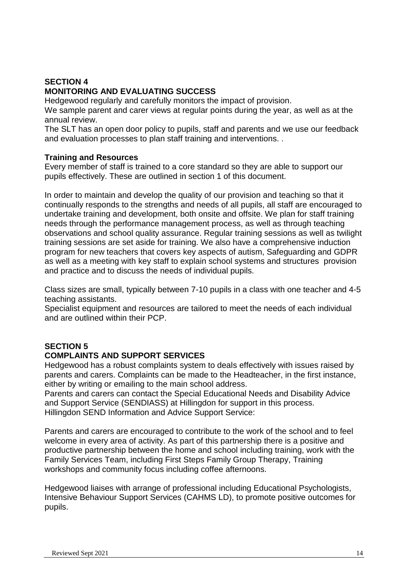#### **SECTION 4 MONITORING AND EVALUATING SUCCESS**

Hedgewood regularly and carefully monitors the impact of provision.

We sample parent and carer views at regular points during the year, as well as at the annual review.

The SLT has an open door policy to pupils, staff and parents and we use our feedback and evaluation processes to plan staff training and interventions. .

#### **Training and Resources**

Every member of staff is trained to a core standard so they are able to support our pupils effectively. These are outlined in section 1 of this document.

In order to maintain and develop the quality of our provision and teaching so that it continually responds to the strengths and needs of all pupils, all staff are encouraged to undertake training and development, both onsite and offsite. We plan for staff training needs through the performance management process, as well as through teaching observations and school quality assurance. Regular training sessions as well as twilight training sessions are set aside for training. We also have a comprehensive induction program for new teachers that covers key aspects of autism, Safeguarding and GDPR as well as a meeting with key staff to explain school systems and structures provision and practice and to discuss the needs of individual pupils.

Class sizes are small, typically between 7-10 pupils in a class with one teacher and 4-5 teaching assistants.

Specialist equipment and resources are tailored to meet the needs of each individual and are outlined within their PCP.

### **SECTION 5**

#### **COMPLAINTS AND SUPPORT SERVICES**

Hedgewood has a robust complaints system to deals effectively with issues raised by parents and carers. Complaints can be made to the Headteacher, in the first instance, either by writing or emailing to the main school address.

Parents and carers can contact the Special Educational Needs and Disability Advice and Support Service (SENDIASS) at Hillingdon for support in this process. Hillingdon SEND Information and Advice Support Service:

Parents and carers are encouraged to contribute to the work of the school and to feel welcome in every area of activity. As part of this partnership there is a positive and productive partnership between the home and school including training, work with the Family Services Team, including First Steps Family Group Therapy, Training workshops and community focus including coffee afternoons.

Hedgewood liaises with arrange of professional including Educational Psychologists, Intensive Behaviour Support Services (CAHMS LD), to promote positive outcomes for pupils.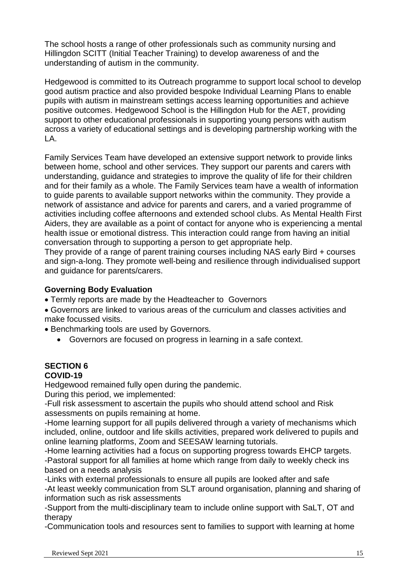The school hosts a range of other professionals such as community nursing and Hillingdon SCITT (Initial Teacher Training) to develop awareness of and the understanding of autism in the community.

Hedgewood is committed to its Outreach programme to support local school to develop good autism practice and also provided bespoke Individual Learning Plans to enable pupils with autism in mainstream settings access learning opportunities and achieve positive outcomes. Hedgewood School is the Hillingdon Hub for the AET, providing support to other educational professionals in supporting young persons with autism across a variety of educational settings and is developing partnership working with the LA.

Family Services Team have developed an extensive support network to provide links between home, school and other services. They support our parents and carers with understanding, guidance and strategies to improve the quality of life for their children and for their family as a whole. The Family Services team have a wealth of information to guide parents to available support networks within the community. They provide a network of assistance and advice for parents and carers, and a varied programme of activities including coffee afternoons and extended school clubs. As Mental Health First Aiders, they are available as a point of contact for anyone who is experiencing a mental health issue or emotional distress. This interaction could range from having an initial conversation through to supporting a person to get appropriate help.

They provide of a range of parent training courses including NAS early Bird + courses and sign-a-long. They promote well-being and resilience through individualised support and guidance for parents/carers.

#### **Governing Body Evaluation**

- Termly reports are made by the Headteacher to Governors
- Governors are linked to various areas of the curriculum and classes activities and make focussed visits.
- Benchmarking tools are used by Governors.
	- Governors are focused on progress in learning in a safe context.

#### **SECTION 6 COVID-19**

Hedgewood remained fully open during the pandemic.

During this period, we implemented:

-Full risk assessment to ascertain the pupils who should attend school and Risk assessments on pupils remaining at home.

-Home learning support for all pupils delivered through a variety of mechanisms which included, online, outdoor and life skills activities, prepared work delivered to pupils and online learning platforms, Zoom and SEESAW learning tutorials.

-Home learning activities had a focus on supporting progress towards EHCP targets. -Pastoral support for all families at home which range from daily to weekly check ins based on a needs analysis

-Links with external professionals to ensure all pupils are looked after and safe -At least weekly communication from SLT around organisation, planning and sharing of information such as risk assessments

-Support from the multi-disciplinary team to include online support with SaLT, OT and therapy

-Communication tools and resources sent to families to support with learning at home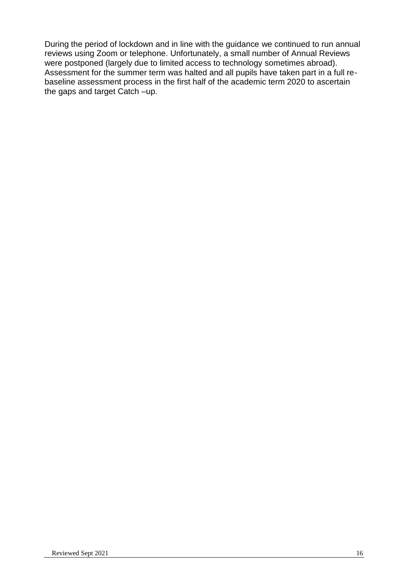During the period of lockdown and in line with the guidance we continued to run annual reviews using Zoom or telephone. Unfortunately, a small number of Annual Reviews were postponed (largely due to limited access to technology sometimes abroad). Assessment for the summer term was halted and all pupils have taken part in a full rebaseline assessment process in the first half of the academic term 2020 to ascertain the gaps and target Catch –up.